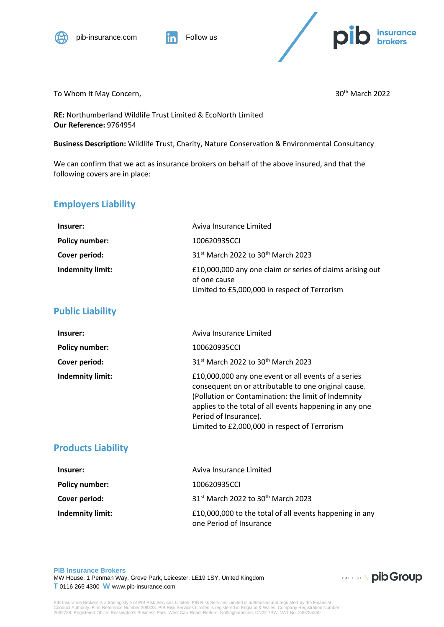



To Whom It May Concern,  $30<sup>th</sup>$  March 2022

**RE:** Northumberland Wildlife Trust Limited & EcoNorth Limited **Our Reference:** 9764954

**Business Description:** Wildlife Trust, Charity, Nature Conservation & Environmental Consultancy

We can confirm that we act as insurance brokers on behalf of the above insured, and that the following covers are in place:

## **Employers Liability**

| Insurer:              | Aviva Insurance Limited                                                                                                    |
|-----------------------|----------------------------------------------------------------------------------------------------------------------------|
| <b>Policy number:</b> | 100620935CCI                                                                                                               |
| Cover period:         | 31 <sup>st</sup> March 2022 to 30 <sup>th</sup> March 2023                                                                 |
| Indemnity limit:      | £10,000,000 any one claim or series of claims arising out<br>of one cause<br>Limited to £5,000,000 in respect of Terrorism |

### **Public Liability**

| Insurer:              | Aviva Insurance Limited                                                                                                                                                                                                                                                                                 |
|-----------------------|---------------------------------------------------------------------------------------------------------------------------------------------------------------------------------------------------------------------------------------------------------------------------------------------------------|
| <b>Policy number:</b> | 100620935CCI                                                                                                                                                                                                                                                                                            |
| Cover period:         | 31st March 2022 to 30th March 2023                                                                                                                                                                                                                                                                      |
| Indemnity limit:      | £10,000,000 any one event or all events of a series<br>consequent on or attributable to one original cause.<br>(Pollution or Contamination: the limit of Indemnity<br>applies to the total of all events happening in any one<br>Period of Insurance).<br>Limited to £2,000,000 in respect of Terrorism |

### **Products Liability**

| Insurer:                | Aviva Insurance Limited                                                            |
|-------------------------|------------------------------------------------------------------------------------|
| <b>Policy number:</b>   | 100620935CCI                                                                       |
| Cover period:           | 31 <sup>st</sup> March 2022 to 30 <sup>th</sup> March 2023                         |
| <b>Indemnity limit:</b> | £10,000,000 to the total of all events happening in any<br>one Period of Insurance |

#### **PIB Insurance Brokers** MW House, 1 Penman Way, Grove Park, Leicester, LE19 1SY, United Kingdom **T** 0116 265 4300 **W** www.pib-insurance.com

**PART OF \ pib Group** 

PIB Insurance Brokers is a trading style of PIB Risk Services Limited. PIB Risk Services Limited is authorised and regulated by the Financial<br>Conduct Authority, Firm Reference Number 308333. PIB Risk Services Limited is re